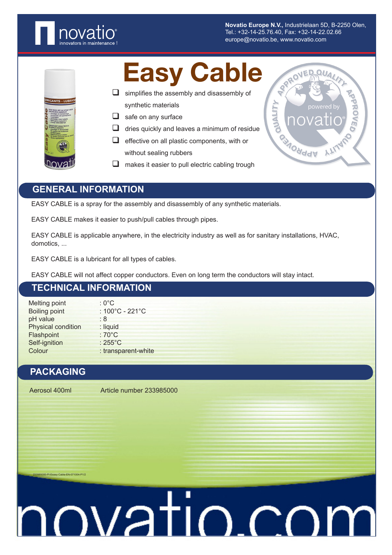

**Novatio Europe N.V.,** Industrielaan 5D, B-2250 Olen, Tel.: +32-14-25.76.40, Fax: +32-14-22.02.66 europe@novatio.be, www.novatio.com

### Easy Cable

- $\Box$  simplifies the assembly and disassembly of synthetic materials
- $\Box$  safe on any surface
- $\Box$  dries quickly and leaves a minimum of residue
- $\Box$  effective on all plastic components, with or without sealing rubbers
- $\Box$  makes it easier to pull electric cabling trough



### **GENERAL INFORMATION**

EASY CABLE is a spray for the assembly and disassembly of any synthetic materials.

EASY CABLE makes it easier to push/pull cables through pipes.

EASY CABLE is applicable anywhere, in the electricity industry as well as for sanitary installations, HVAC, domotics, ...

EASY CABLE is a lubricant for all types of cables.

EASY CABLE will not affect copper conductors. Even on long term the conductors will stay intact.

### **TECHNICAL INFORMATION**

Melting point : 0°C Boiling point : 100°C - 221°C pH value : 8 Physical condition : liquid Flashpoint : 70°C Self-ignition : 255°C<br>Colour : transp : transparent-white

### **PACKAGING**

Aerosol 400ml Article number 233985000

233985000-PI-Eeasy Cable-EN-071004-P1/2

# novatio.com